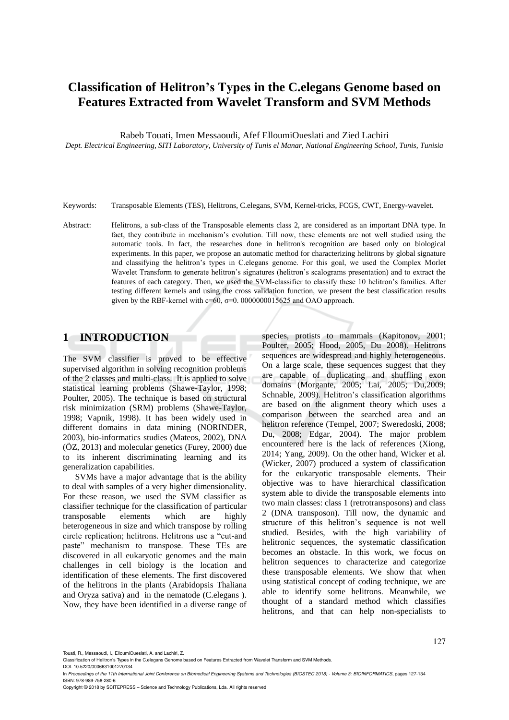# **Classification of Helitron's Types in the C.elegans Genome based on Features Extracted from Wavelet Transform and SVM Methods**

Rabeb Touati, Imen Messaoudi, Afef ElloumiOueslati and Zied Lachiri

*Dept. Electrical Engineering, SITI Laboratory, University of Tunis el Manar, National Engineering School, Tunis, Tunisia*

- Keywords: Transposable Elements (TES), Helitrons, C.elegans, SVM, Kernel-tricks, FCGS, CWT, Energy-wavelet.
- Abstract: Helitrons, a sub-class of the Transposable elements class 2, are considered as an important DNA type. In fact, they contribute in mechanism's evolution. Till now, these elements are not well studied using the automatic tools. In fact, the researches done in helitron's recognition are based only on biological experiments. In this paper, we propose an automatic method for characterizing helitrons by global signature and classifying the helitron's types in C.elegans genome. For this goal, we used the Complex Morlet Wavelet Transform to generate helitron's signatures (helitron's scalograms presentation) and to extract the features of each category. Then, we used the SVM-classifier to classify these 10 helitron's families. After testing different kernels and using the cross validation function, we present the best classification results given by the RBF-kernel with  $c=60$ ,  $\sigma=0.0000000015625$  and OAO approach.

## **1 INTRODUCTION**

The SVM classifier is proved to be effective supervised algorithm in solving recognition problems of the 2 classes and multi-class. It is applied to solve statistical learning problems (Shawe-Taylor, 1998; Poulter, 2005). The technique is based on structural risk minimization (SRM) problems (Shawe-Taylor, 1998; Vapnik, 1998). It has been widely used in different domains in data mining (NORINDER, 2003), bio-informatics studies (Mateos, 2002), DNA (ÖZ, 2013) and molecular genetics (Furey, 2000) due to its inherent discriminating learning and its generalization capabilities.

SVMs have a major advantage that is the ability to deal with samples of a very higher dimensionality. For these reason, we used the SVM classifier as classifier technique for the classification of particular transposable elements which are highly heterogeneous in size and which transpose by rolling circle replication; helitrons. Helitrons use a "cut-and paste" mechanism to transpose. These TEs are discovered in all eukaryotic genomes and the main challenges in cell biology is the location and identification of these elements. The first discovered of the helitrons in the plants (Arabidopsis Thaliana and Oryza sativa) and in the nematode (C.elegans ). Now, they have been identified in a diverse range of species, protists to mammals (Kapitonov, 2001; Poulter, 2005; Hood, 2005, Du 2008). Helitrons sequences are widespread and highly heterogeneous. On a large scale, these sequences suggest that they are capable of duplicating and shuffling exon domains (Morgante, 2005; Lai, 2005; Du,2009; Schnable, 2009). Helitron's classification algorithms are based on the alignment theory which uses a comparison between the searched area and an helitron reference (Tempel, 2007; Sweredoski, 2008; Du, 2008; Edgar, 2004). The major problem encountered here is the lack of references (Xiong, 2014; Yang, 2009). On the other hand, Wicker et al. (Wicker, 2007) produced a system of classification for the eukaryotic transposable elements. Their objective was to have hierarchical classification system able to divide the transposable elements into two main classes: class 1 (retrotransposons) and class 2 (DNA transposon). Till now, the dynamic and structure of this helitron's sequence is not well studied. Besides, with the high variability of helitronic sequences, the systematic classification becomes an obstacle. In this work, we focus on helitron sequences to characterize and categorize these transposable elements. We show that when using statistical concept of coding technique, we are able to identify some helitrons. Meanwhile, we thought of a standard method which classifies helitrons, and that can help non-specialists to

Touati, R., Messaoudi, I., ElloumiOueslati, A. and Lachiri, Z.

Classification of Helitron's Types in the C.elegans Genome based on Features Extracted from Wavelet Transform and SVM Methods. DOI: 10.5220/0006631001270134

In *Proceedings of the 11th International Joint Conference on Biomedical Engineering Systems and Technologies (BIOSTEC 2018) - Volume 3: BIOINFORMATICS*, pages 127-134 ISBN: 978-989-758-280-6

Copyright © 2018 by SCITEPRESS – Science and Technology Publications, Lda. All rights reserved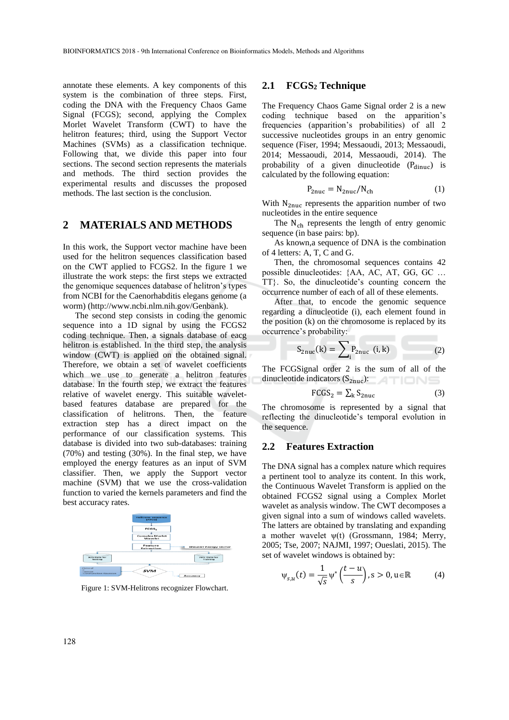annotate these elements. A key components of this system is the combination of three steps. First, coding the DNA with the Frequency Chaos Game Signal (FCGS); second, applying the Complex Morlet Wavelet Transform (CWT) to have the helitron features; third, using the Support Vector Machines (SVMs) as a classification technique. Following that, we divide this paper into four sections. The second section represents the materials and methods. The third section provides the experimental results and discusses the proposed methods. The last section is the conclusion.

### **2 MATERIALS AND METHODS**

In this work, the Support vector machine have been used for the helitron sequences classification based on the CWT applied to FCGS2. In the figure 1 we illustrate the work steps: the first steps we extracted the genomique sequences database of helitron's types from NCBI for the Caenorhabditis elegans genome (a worm) (http://www.ncbi.nlm.nih.gov/Genbank).

The second step consists in coding the genomic sequence into a 1D signal by using the FCGS2 coding technique. Then, a signals database of eacg helitron is established. In the third step, the analysis window (CWT) is applied on the obtained signal. Therefore, we obtain a set of wavelet coefficients which we use to generate a helitron features database. In the fourth step, we extract the features relative of wavelet energy. This suitable waveletbased features database are prepared for the classification of helitrons. Then, the feature extraction step has a direct impact on the performance of our classification systems. This database is divided into two sub-databases: training (70%) and testing (30%). In the final step, we have employed the energy features as an input of SVM classifier. Then, we apply the Support vector machine (SVM) that we use the cross-validation function to varied the kernels parameters and find the best accuracy rates.



Figure 1: SVM-Helitrons recognizer Flowchart.

#### **2.1 FCGS<sup>2</sup> Technique**

The Frequency Chaos Game Signal order 2 is a new coding technique based on the apparition's frequencies (apparition's probabilities) of all 2 successive nucleotides groups in an entry genomic sequence (Fiser, 1994; Messaoudi, 2013; Messaoudi, 2014; Messaoudi, 2014, Messaoudi, 2014). The probability of a given dinucleotide  $(P_{dinuc})$  is calculated by the following equation:

$$
P_{2nuc} = N_{2nuc}/N_{ch}
$$
 (1)

With  $N_{2nuc}$  represents the apparition number of two nucleotides in the entire sequence

The  $N_{ch}$  represents the length of entry genomic sequence (in base pairs: bp).

As known,a sequence of DNA is the combination of 4 letters: A, T, C and G.

Then, the chromosomal sequences contains 42 possible dinucleotides: {AA, AC, AT, GG, GC … TT}. So, the dinucleotide's counting concern the occurrence number of each of all of these elements.

After that, to encode the genomic sequence regarding a dinucleotide (i), each element found in the position (k) on the chromosome is replaced by its occurrence's probability:

$$
S_{2nuc}(k) = \sum_{i} P_{2nuc} (i, k) \tag{2}
$$

The FCGSignal order 2 is the sum of all of the dinucleotide indicators  $(S_{2nuc})$ :

$$
FGGS_2 = \sum_{k} S_{2nuc} \tag{3}
$$

The chromosome is represented by a signal that reflecting the dinucleotide's temporal evolution in the sequence.

#### **2.2 Features Extraction**

The DNA signal has a complex nature which requires a pertinent tool to analyze its content. In this work, the Continuous Wavelet Transform is applied on the obtained FCGS2 signal using a Complex Morlet wavelet as analysis window. The CWT decomposes a given signal into a sum of windows called wavelets. The latters are obtained by translating and expanding a mother wavelet  $ψ(t)$  (Grossmann, 1984; Merry, 2005; Tse, 2007; NAJMI, 1997; Oueslati, 2015). The set of wavelet windows is obtained by:

$$
\psi_{s,u}(t) = \frac{1}{\sqrt{s}} \psi^* \left( \frac{t - u}{s} \right), s > 0, u \in \mathbb{R}
$$
 (4)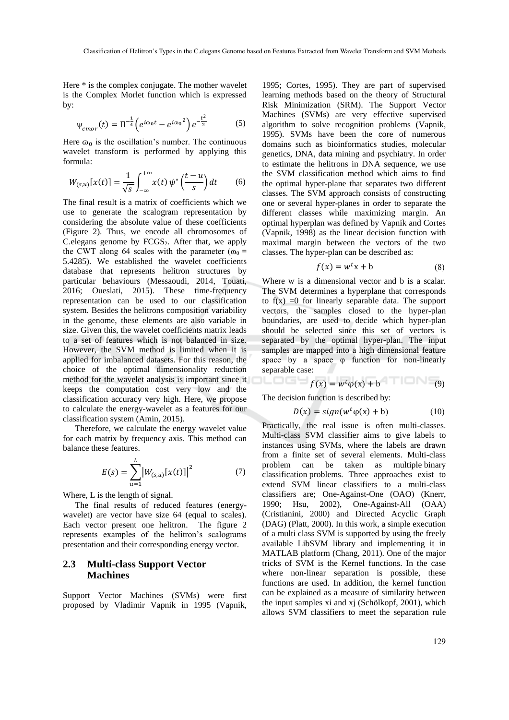Here \* is the complex conjugate. The mother wavelet is the Complex Morlet function which is expressed by:

$$
\psi_{cmor}(t) = \Pi^{-\frac{1}{4}} \left( e^{i\omega_0 t} - e^{i\omega_0 t} \right) e^{-\frac{t^2}{2}} \tag{5}
$$

Here  $\omega_0$  is the oscillation's number. The continuous wavelet transform is performed by applying this formula:

$$
W_{(s,u)}[x(t)] = \frac{1}{\sqrt{s}} \int_{-\infty}^{+\infty} x(t) \, \psi^* \left(\frac{t-u}{s}\right) dt \qquad (6)
$$

The final result is a matrix of coefficients which we use to generate the scalogram representation by considering the absolute value of these coefficients (Figure 2). Thus, we encode all chromosomes of C. elegans genome by  $FCGS<sub>2</sub>$ . After that, we apply the CWT along 64 scales with the parameter ( $\omega_0$  = 5.4285). We established the wavelet coefficients database that represents helitron structures by particular behaviours (Messaoudi, 2014, Touati, 2016; Oueslati, 2015). These time-frequency representation can be used to our classification system. Besides the helitrons composition variability in the genome, these elements are also variable in size. Given this, the wavelet coefficients matrix leads to a set of features which is not balanced in size. However, the SVM method is limited when it is applied for imbalanced datasets. For this reason, the choice of the optimal dimensionality reduction method for the wavelet analysis is important since it keeps the computation cost very low and the classification accuracy very high. Here, we propose to calculate the energy-wavelet as a features for our classification system (Amin, 2015).

Therefore, we calculate the energy wavelet value for each matrix by frequency axis. This method can balance these features.

$$
E(s) = \sum_{u=1}^{L} |W_{(s,u)}[x(t)]|^2
$$
 (7)

Where, L is the length of signal.

The final results of reduced features (energywavelet) are vector have size 64 (equal to scales). Each vector present one helitron. The figure 2 represents examples of the helitron's scalograms presentation and their corresponding energy vector.

#### **2.3 Multi-class Support Vector Machines**

Support Vector Machines (SVMs) were first proposed by Vladimir Vapnik in 1995 (Vapnik,

1995; Cortes, 1995). They are part of supervised learning methods based on the theory of Structural Risk Minimization (SRM). The Support Vector Machines (SVMs) are very effective supervised algorithm to solve recognition problems (Vapnik, 1995). SVMs have been the core of numerous domains such as bioinformatics studies, molecular genetics, DNA, data mining and psychiatry. In order to estimate the helitrons in DNA sequence, we use the SVM classification method which aims to find the optimal hyper-plane that separates two different classes. The SVM approach consists of constructing one or several hyper-planes in order to separate the different classes while maximizing margin. An optimal hyperplan was defined by Vapnik and Cortes (Vapnik, 1998) as the linear decision function with maximal margin between the vectors of the two classes. The hyper-plan can be described as:

$$
f(x) = w^t x + b \tag{8}
$$

Where w is a dimensional vector and b is a scalar. The SVM determines a hyperplane that corresponds to  $f(x) = 0$  for linearly separable data. The support vectors, the samples closed to the hyper-plan boundaries, are used to decide which hyper-plan should be selected since this set of vectors is separated by the optimal hyper-plan. The input samples are mapped into a high dimensional feature space by a space φ function for non-linearly separable case:

$$
f(x) = w^t \varphi(x) + b
$$
 (9)

The decision function is described by:

والماليا

$$
D(x) = sign(w^t \varphi(x) + b)
$$
 (10)

Practically, the real issue is often multi-classes. Multi-class SVM classifier aims to give labels to instances using SVMs, where the labels are drawn from a finite set of several elements. Multi-class problem can be taken as multiple binary classification problems. Three approaches exist to extend SVM linear classifiers to a multi-class classifiers are; One-Against-One (OAO) (Knerr, 1990: Hsu, 2002), One-Against-All (OAA) 2002), One-Against-All (OAA) (Cristianini, 2000) and Directed Acyclic Graph (DAG) (Platt, 2000). In this work, a simple execution of a multi class SVM is supported by using the freely available LibSVM library and implementing it in MATLAB platform (Chang, 2011). One of the major tricks of SVM is the Kernel functions. In the case where non-linear separation is possible, these functions are used. In addition, the kernel function can be explained as a measure of similarity between the input samples xi and xj (Schölkopf, 2001), which allows SVM classifiers to meet the separation rule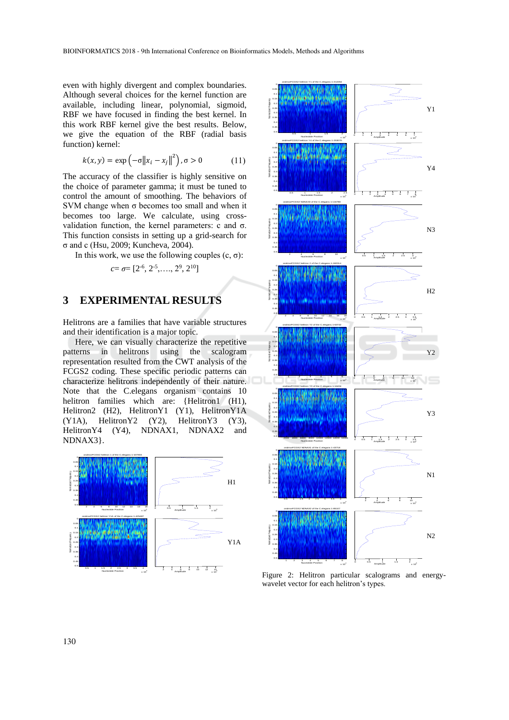even with highly divergent and complex boundaries. Although several choices for the kernel function are available, including linear, polynomial, sigmoid, RBF we have focused in finding the best kernel. In this work RBF kernel give the best results. Below, we give the equation of the RBF (radial basis function) kernel:

$$
k(x, y) = \exp\left(-\sigma \|x_i - x_j\|^2\right), \sigma > 0 \tag{11}
$$

The accuracy of the classifier is highly sensitive on the choice of parameter gamma; it must be tuned to control the amount of smoothing. The behaviors of SVM change when σ becomes too small and when it becomes too large. We calculate, using crossvalidation function, the kernel parameters: c and σ. This function consists in setting up a grid-search for σ and c (Hsu, 2009; Kuncheva, 2004).

In this work, we use the following couples  $(c, σ)$ :

$$
c = \sigma = [2^{-6}, 2^{-5}, \ldots, 2^{9}, 2^{10}]
$$

### **3 EXPERIMENTAL RESULTS**

Helitrons are a families that have variable structures and their identification is a major topic.

Here, we can visually characterize the repetitive patterns in helitrons using the scalogram representation resulted from the CWT analysis of the FCGS2 coding. These specific periodic patterns can characterize helitrons independently of their nature. Note that the C.elegans organism contains 10 helitron families which are: {Helitron1 (H1), Helitron2 (H2), HelitronY1 (Y1), HelitronY1A (Y1A), HelitronY2 (Y2), HelitronY3 (Y3), HelitronY4 (Y4), NDNAX1, NDNAX2 and NDNAX3}.





Figure 2: Helitron particular scalograms and energywavelet vector for each helitron's types.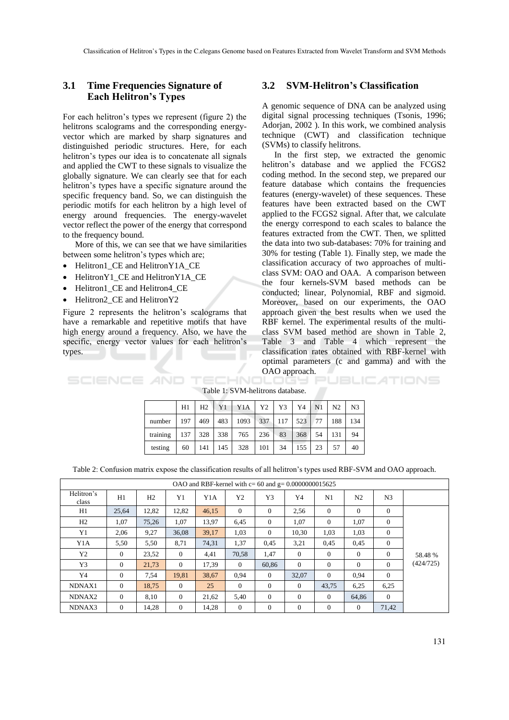#### **3.1 Time Frequencies Signature of Each Helitron's Types**

For each helitron's types we represent (figure 2) the helitrons scalograms and the corresponding energyvector which are marked by sharp signatures and distinguished periodic structures. Here, for each helitron's types our idea is to concatenate all signals and applied the CWT to these signals to visualize the globally signature. We can clearly see that for each helitron's types have a specific signature around the specific frequency band. So, we can distinguish the periodic motifs for each helitron by a high level of energy around frequencies. The energy-wavelet vector reflect the power of the energy that correspond to the frequency bound.

More of this, we can see that we have similarities between some helitron's types which are;

- Helitron1\_CE and HelitronY1A\_CE
- HelitronY1\_CE and HelitronY1A\_CE
- Helitron1 CE and Helitron4 CE
- Helitron2 CE and HelitronY2

Figure 2 represents the helitron's scalograms that have a remarkable and repetitive motifs that have high energy around a frequency. Also, we have the specific, energy vector values for each helitron's types.  $\mathbb{R}$ 

#### **3.2 SVM-Helitron's Classification**

A genomic sequence of DNA can be analyzed using digital signal processing techniques (Tsonis, 1996; Adorjan, 2002 ). In this work, we combined analysis technique (CWT) and classification technique (SVMs) to classify helitrons.

In the first step, we extracted the genomic helitron's database and we applied the FCGS2 coding method. In the second step, we prepared our feature database which contains the frequencies features (energy-wavelet) of these sequences. These features have been extracted based on the CWT applied to the FCGS2 signal. After that, we calculate the energy correspond to each scales to balance the features extracted from the CWT. Then, we splitted the data into two sub-databases: 70% for training and 30% for testing (Table 1). Finally step, we made the classification accuracy of two approaches of multiclass SVM: OAO and OAA. A comparison between the four kernels-SVM based methods can be conducted; linear, Polynomial, RBF and sigmoid. Moreover, based on our experiments, the OAO approach given the best results when we used the RBF kernel. The experimental results of the multiclass SVM based method are shown in Table 2, Table 3 and Table 4 which represent the classification rates obtained with RBF-kernel with optimal parameters (c and gamma) and with the OAO approach. **Summer St** 

|                                  | SLIENLE AND TELMNOLOGS POBLICATIONS |
|----------------------------------|-------------------------------------|
| Table 1: SVM-helitrons database. |                                     |

|          | H1  | H2  | Y <sub>1</sub> | Y <sub>1</sub> A | Y2  | Y3  | Y4  | N <sub>1</sub> | N2  | N <sub>3</sub> |
|----------|-----|-----|----------------|------------------|-----|-----|-----|----------------|-----|----------------|
| number   | 197 | 469 | 483            | 1093             | 337 | 117 | 523 | 77             | 188 | 134            |
| training | 137 | 328 | 338            | 765              | 236 | 83  | 368 | 54             | 131 | 94             |
| testing  | 60  | 141 | 145            | 328              | 101 | 34  | 155 | 23             | 57  | 40             |

Table 2: Confusion matrix expose the classification results of all helitron's types used RBF-SVM and OAO approach.

| OAO and RBF-kernel with $c = 60$ and $g = 0.0000000015625$ |          |                |              |       |                |                |              |          |                |                |                      |
|------------------------------------------------------------|----------|----------------|--------------|-------|----------------|----------------|--------------|----------|----------------|----------------|----------------------|
| Helitron's<br>class                                        | H1       | H <sub>2</sub> | Y1           | Y1A   | Y <sub>2</sub> | Y3             | Y4           | N1       | N <sub>2</sub> | N <sub>3</sub> |                      |
| H1                                                         | 25,64    | 12,82          | 12,82        | 46,15 | $\Omega$       | $\Omega$       | 2,56         | $\Omega$ | $\Omega$       | $\Omega$       |                      |
| H2                                                         | 1.07     | 75,26          | 1,07         | 13,97 | 6,45           | $\theta$       | 1,07         | $\theta$ | 1,07           | $\overline{0}$ |                      |
| Y1                                                         | 2.06     | 9,27           | 36,08        | 39,17 | 1,03           | $\Omega$       | 10.30        | 1,03     | 1,03           | $\overline{0}$ |                      |
| Y1A                                                        | 5,50     | 5,50           | 8,71         | 74,31 | 1,37           | 0,45           | 3,21         | 0,45     | 0,45           | $\overline{0}$ | 58.48 %<br>(424/725) |
| Y2                                                         | $\Omega$ | 23,52          | $\mathbf{0}$ | 4,41  | 70,58          | 1,47           | $\theta$     | $\theta$ | $\Omega$       | $\mathbf{0}$   |                      |
| Y3                                                         | $\Omega$ | 21,73          | $\theta$     | 17,39 | $\Omega$       | 60.86          | $\theta$     | $\theta$ | $\theta$       | $\Omega$       |                      |
| Y4                                                         | $\Omega$ | 7.54           | 19.81        | 38.67 | 0.94           | $\theta$       | 32.07        | $\theta$ | 0.94           | $\Omega$       |                      |
| NDNAX1                                                     | $\Omega$ | 18,75          | $\mathbf{0}$ | 25    | $\Omega$       | $\overline{0}$ | $\mathbf{0}$ | 43,75    | 6,25           | 6,25           |                      |
| NDNAX2                                                     | $\Omega$ | 8,10           | $\mathbf{0}$ | 21,62 | 5,40           | $\overline{0}$ | $\mathbf{0}$ | $\theta$ | 64,86          | $\mathbf{0}$   |                      |
| NDNAX3                                                     | $\Omega$ | 14,28          | $\mathbf{0}$ | 14,28 | $\theta$       | $\overline{0}$ | $\mathbf{0}$ | $\Omega$ | $\theta$       | 71,42          |                      |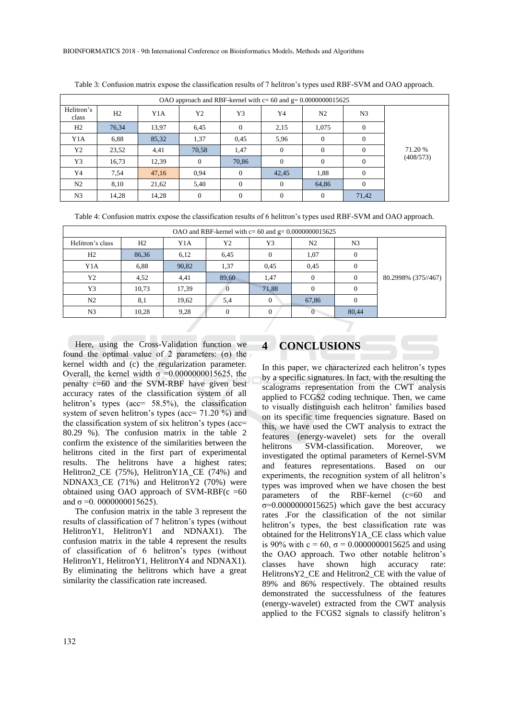| OAO approach and RBF-kernel with $c = 60$ and $g = 0.0000000015625$ |       |       |                |          |          |                |                |           |
|---------------------------------------------------------------------|-------|-------|----------------|----------|----------|----------------|----------------|-----------|
| Helitron's<br>class                                                 | H2    | Y1A   | Y <sub>2</sub> | Y3       | Y4       | N <sub>2</sub> | N <sub>3</sub> |           |
| H2                                                                  | 76,34 | 13,97 | 6,45           | $\theta$ | 2,15     | 1.075          | $\theta$       |           |
| Y1A                                                                 | 6,88  | 85,32 | 1,37           | 0.45     | 5,96     | $\Omega$       | $\Omega$       |           |
| Y2                                                                  | 23,52 | 4,41  | 70,58          | 1,47     | $\left($ | $\Omega$       | $\Omega$       | 71.20 %   |
| Y3                                                                  | 16,73 | 12,39 | $\Omega$       | 70,86    | $\Omega$ | $\Omega$       | $\Omega$       | (408/573) |
| Y4                                                                  | 7,54  | 47,16 | 0.94           | $\Omega$ | 42,45    | 1,88           | $\Omega$       |           |
| N2                                                                  | 8,10  | 21,62 | 5,40           | $\Omega$ | $\Omega$ | 64,86          | $\Omega$       |           |
| N <sub>3</sub>                                                      | 14,28 | 14,28 | $\Omega$       | $\Omega$ | $\Omega$ | $\Omega$       | 71,42          |           |

Table 3: Confusion matrix expose the classification results of 7 helitron's types used RBF-SVM and OAO approach.

Table 4: Confusion matrix expose the classification results of 6 helitron's types used RBF-SVM and OAO approach.

| Helitron's class<br>H <sub>2</sub><br>Y3<br>Y1A<br>Y2<br>N <sub>2</sub><br>N <sub>3</sub> |  |
|-------------------------------------------------------------------------------------------|--|
|                                                                                           |  |
| H2<br>86,36<br>6,45<br>1,07<br>6,12<br>0                                                  |  |
| 1,37<br>0.45<br>Y1A<br>6,88<br>90,82<br>0,45                                              |  |
| Y2<br>4,52<br>89,60<br>4,41<br>1,47<br>80.2998% (375//467)<br>$\Omega$                    |  |
| Y3<br>71,88<br>17,39<br>10,73<br>$\Omega$<br>0                                            |  |
| N <sub>2</sub><br>19,62<br>67,86<br>8,1<br>5,4<br>$\Omega$                                |  |
| N3<br>9.28<br>80,44<br>10,28<br>$\Omega$<br>$\theta$<br>0                                 |  |

Here, using the Cross-Validation function we found the optimal value of 2 parameters: (σ) the kernel width and (c) the regularization parameter. Overall, the kernel width  $σ = 0.0000000015625$ , the penalty c=60 and the SVM-RBF have given best accuracy rates of the classification system of all helitron's types (acc= 58.5%), the classification system of seven helitron's types (acc= 71.20 %) and the classification system of six helitron's types (acc= 80.29 %). The confusion matrix in the table 2 confirm the existence of the similarities between the helitrons cited in the first part of experimental results. The helitrons have a highest rates; Helitron2\_CE (75%), HelitronY1A\_CE (74%) and NDNAX3 CE (71%) and HelitronY2 (70%) were obtained using OAO approach of  $SVM-RBF(c = 60$ and  $\sigma = 0.0000000015625$ .

The confusion matrix in the table 3 represent the results of classification of 7 helitron's types (without HelitronY1, HelitronY1 and NDNAX1). The confusion matrix in the table 4 represent the results of classification of 6 helitron's types (without HelitronY1, HelitronY1, HelitronY4 and NDNAX1). By eliminating the helitrons which have a great similarity the classification rate increased.

## **4 CONCLUSIONS**

In this paper, we characterized each helitron's types by a specific signatures. In fact, with the resulting the scalograms representation from the CWT analysis applied to FCGS2 coding technique. Then, we came to visually distinguish each helitron' families based on its specific time frequencies signature. Based on this, we have used the CWT analysis to extract the features (energy-wavelet) sets for the overall helitrons SVM-classification. Moreover, we investigated the optimal parameters of Kernel-SVM and features representations. Based on our experiments, the recognition system of all helitron's types was improved when we have chosen the best parameters of the RBF-kernel (c=60 and σ=0.0000000015625) which gave the best accuracy rates .For the classification of the not similar helitron's types, the best classification rate was obtained for the HelitronsY1A\_CE class which value is 90% with  $c = 60$ ,  $\sigma = 0.0000000015625$  and using the OAO approach. Two other notable helitron's classes have shown high accuracy rate: HelitronsY2\_CE and Helitron2\_CE with the value of 89% and 86% respectively. The obtained results demonstrated the successfulness of the features (energy-wavelet) extracted from the CWT analysis applied to the FCGS2 signals to classify helitron's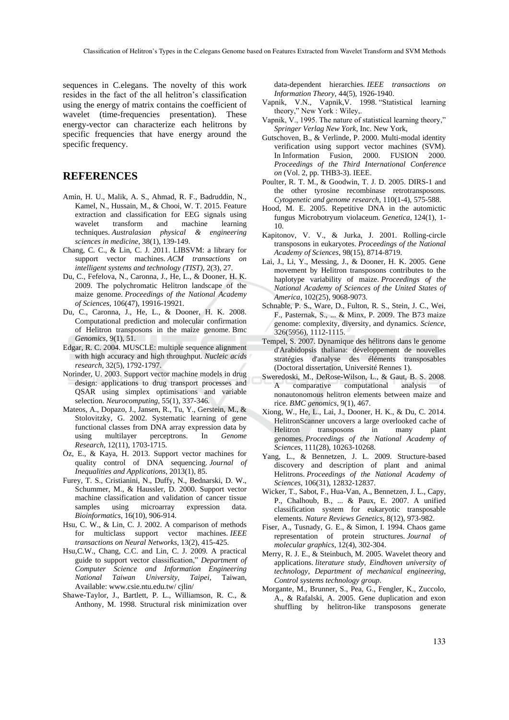sequences in C.elegans. The novelty of this work resides in the fact of the all helitron's classification using the energy of matrix contains the coefficient of wavelet (time-frequencies presentation). These energy-vector can characterize each helitrons by specific frequencies that have energy around the specific frequency.

### **REFERENCES**

- Amin, H. U., Malik, A. S., Ahmad, R. F., Badruddin, N., Kamel, N., Hussain, M., & Chooi, W. T. 2015. Feature extraction and classification for EEG signals using wavelet transform and machine learning techniques. *Australasian physical & engineering sciences in medicine*, 38(1), 139-149.
- Chang, C. C., & Lin, C. J. 2011. LIBSVM: a library for support vector machines. *ACM transactions on intelligent systems and technology (TIST)*, 2(3), 27.
- Du, C., Fefelova, N., Caronna, J., He, L., & Dooner, H. K. 2009. The polychromatic Helitron landscape of the maize genome. *Proceedings of the National Academy of Sciences*, 106(47), 19916-19921.
- Du, C., Caronna, J., He, L., & Dooner, H. K. 2008. Computational prediction and molecular confirmation of Helitron transposons in the maize genome. Bmc *Genomics*, 9(1), 51.
- Edgar, R. C. 2004. MUSCLE: multiple sequence alignment with high accuracy and high throughput. *Nucleic acids research*, 32(5), 1792-1797.
- Norinder, U. 2003. Support vector machine models in drug design: applications to drug transport processes and QSAR using simplex optimisations and variable selection. *Neurocomputing*, 55(1), 337-346.
- Mateos, A., Dopazo, J., Jansen, R., Tu, Y., Gerstein, M., & Stolovitzky, G. 2002. Systematic learning of gene functional classes from DNA array expression data by using multilayer perceptrons. In *Genome Research*, 12(11), 1703-1715.
- Öz, E., & Kaya, H. 2013. Support vector machines for quality control of DNA sequencing. *Journal of Inequalities and Applications*, 2013(1), 85.
- Furey, T. S., Cristianini, N., Duffy, N., Bednarski, D. W., Schummer, M., & Haussler, D. 2000. Support vector machine classification and validation of cancer tissue samples using microarray expression data. *Bioinformatics*, 16(10), 906-914.
- Hsu, C. W., & Lin, C. J. 2002. A comparison of methods for multiclass support vector machines. *IEEE transactions on Neural Networks*, 13(2), 415-425.
- Hsu,C.W., Chang, C.C. and Lin, C. J. 2009. A practical guide to support vector classification," *Department of Computer Science and Information Engineering National Taiwan University, Taipei*, Taiwan, Available: www.csie.ntu.edu.tw/ cjlin/
- Shawe-Taylor, J., Bartlett, P. L., Williamson, R. C., & Anthony, M. 1998. Structural risk minimization over

data-dependent hierarchies*. IEEE transactions on Information Theory*, 44(5), 1926-1940.

- Vapnik, V.N., Vapnik,V. 1998. "Statistical learning theory," New York : Wiley,.
- Vapnik, V., 1995. The nature of statistical learning theory," *Springer Verlag New York*, Inc. New York,
- Gutschoven, B., & Verlinde, P. 2000. Multi-modal identity verification using support vector machines (SVM). In Information Fusion, 2000. FUSION 2000. *Proceedings of the Third International Conference on* (Vol. 2, pp. THB3-3). IEEE.
- Poulter, R. T. M., & Goodwin, T. J. D. 2005. DIRS-1 and the other tyrosine recombinase retrotransposons. *Cytogenetic and genome research*, 110(1-4), 575-588.
- Hood, M. E. 2005. Repetitive DNA in the automictic fungus Microbotryum violaceum. *Genetica*, 124(1), 1- 10.
- Kapitonov, V. V., & Jurka, J. 2001. Rolling-circle transposons in eukaryotes. *Proceedings of the National Academy of Sciences*, 98(15), 8714-8719.
- Lai, J., Li, Y., Messing, J., & Dooner, H. K. 2005. Gene movement by Helitron transposons contributes to the haplotype variability of maize. *Proceedings of the National Academy of Sciences of the United States of America*, 102(25), 9068-9073.
- Schnable, P. S., Ware, D., Fulton, R. S., Stein, J. C., Wei, F., Pasternak, S., ... & Minx, P. 2009. The B73 maize genome: complexity, diversity, and dynamics. *Science*, 326(5956), 1112-1115.
- Tempel, S. 2007. Dynamique des hélitrons dans le genome d'Arabidopsis thaliana: développement de nouvelles stratégies d'analyse des éléments transposables (Doctoral dissertation, Université Rennes 1).
- Sweredoski, M., DeRose-Wilson, L., & Gaut, B. S. 2008. A comparative computational analysis of nonautonomous helitron elements between maize and rice. *BMC genomics*, 9(1), 467.
- Xiong, W., He, L., Lai, J., Dooner, H. K., & Du, C. 2014. HelitronScanner uncovers a large overlooked cache of Helitron transposons in many plant genomes. *Proceedings of the National Academy of Sciences*, 111(28), 10263-10268.
- Yang, L., & Bennetzen, J. L. 2009. Structure-based discovery and description of plant and animal Helitrons. *Proceedings of the National Academy of Sciences*, 106(31), 12832-12837.
- Wicker, T., Sabot, F., Hua-Van, A., Bennetzen, J. L., Capy, P., Chalhoub, B., ... & Paux, E. 2007. A unified classification system for eukaryotic transposable elements. *Nature Reviews Genetics*, 8(12), 973-982.
- Fiser, A., Tusnady, G. E., & Simon, I. 1994. Chaos game representation of protein structures. *Journal of molecular graphics*, 12(4), 302-304.
- Merry, R. J. E., & Steinbuch, M. 2005. Wavelet theory and applications. *literature study, Eindhoven university of technology, Department of mechanical engineering, Control systems technology group*.
- Morgante, M., Brunner, S., Pea, G., Fengler, K., Zuccolo, A., & Rafalski, A. 2005. Gene duplication and exon shuffling by helitron-like transposons generate